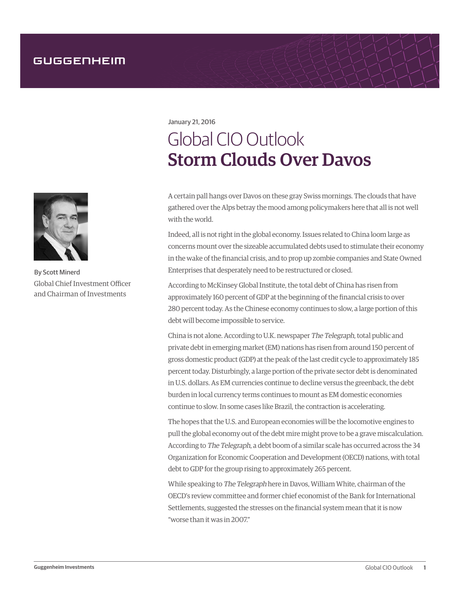

By Scott Minerd Global Chief Investment Officer and Chairman of Investments

January 21, 2016

## Global CIO Outlook Storm Clouds Over Davos

A certain pall hangs over Davos on these gray Swiss mornings. The clouds that have gathered over the Alps betray the mood among policymakers here that all is not well with the world.

Indeed, all is not right in the global economy. Issues related to China loom large as concerns mount over the sizeable accumulated debts used to stimulate their economy in the wake of the financial crisis, and to prop up zombie companies and State Owned Enterprises that desperately need to be restructured or closed.

According to McKinsey Global Institute, the total debt of China has risen from approximately 160 percent of GDP at the beginning of the financial crisis to over 280 percent today. As the Chinese economy continues to slow, a large portion of this debt will become impossible to service.

China is not alone. According to U.K. newspaper The Telegraph, total public and private debt in emerging market (EM) nations has risen from around 150 percent of gross domestic product (GDP) at the peak of the last credit cycle to approximately 185 percent today. Disturbingly, a large portion of the private sector debt is denominated in U.S. dollars. As EM currencies continue to decline versus the greenback, the debt burden in local currency terms continues to mount as EM domestic economies continue to slow. In some cases like Brazil, the contraction is accelerating.

The hopes that the U.S. and European economies will be the locomotive engines to pull the global economy out of the debt mire might prove to be a grave miscalculation. According to The Telegraph, a debt boom of a similar scale has occurred across the 34 Organization for Economic Cooperation and Development (OECD) nations, with total debt to GDP for the group rising to approximately 265 percent.

While speaking to The Telegraph here in Davos, William White, chairman of the OECD's review committee and former chief economist of the Bank for International Settlements, suggested the stresses on the financial system mean that it is now "worse than it was in 2007."